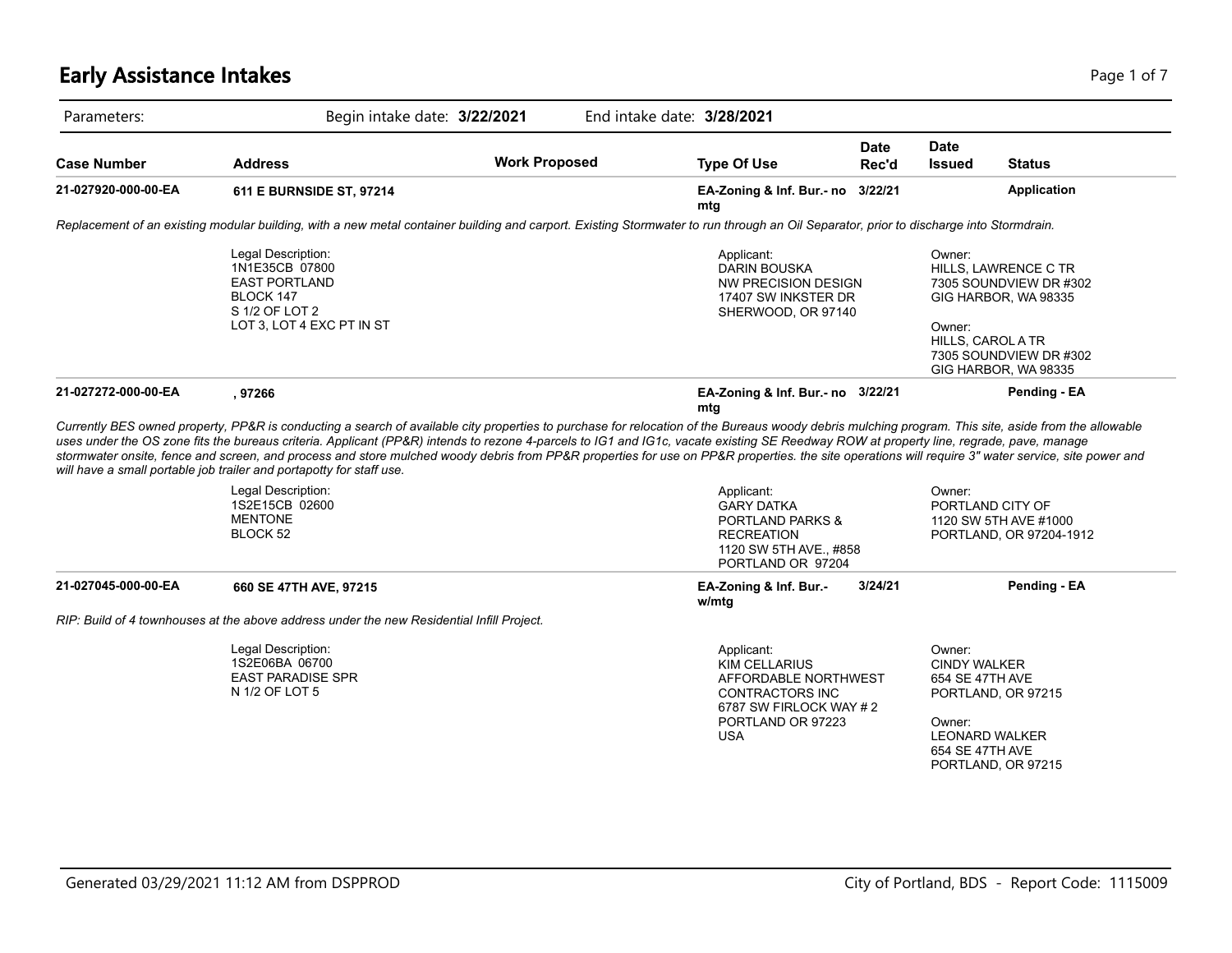# **Early Assistance Intakes** Page 1 of 7

|                     | Begin intake date: 3/22/2021                                                                                                                                                                                                                                                                                                                                                                                                                                                                                                                                                                                                                                                                                        |                      | End intake date: 3/28/2021                                                                                   |                      |                                       |                                                                                                                          |
|---------------------|---------------------------------------------------------------------------------------------------------------------------------------------------------------------------------------------------------------------------------------------------------------------------------------------------------------------------------------------------------------------------------------------------------------------------------------------------------------------------------------------------------------------------------------------------------------------------------------------------------------------------------------------------------------------------------------------------------------------|----------------------|--------------------------------------------------------------------------------------------------------------|----------------------|---------------------------------------|--------------------------------------------------------------------------------------------------------------------------|
| <b>Case Number</b>  | <b>Address</b>                                                                                                                                                                                                                                                                                                                                                                                                                                                                                                                                                                                                                                                                                                      | <b>Work Proposed</b> | <b>Type Of Use</b>                                                                                           | <b>Date</b><br>Rec'd | <b>Date</b><br><b>Issued</b>          | <b>Status</b>                                                                                                            |
| 21-027920-000-00-EA | 611 E BURNSIDE ST, 97214                                                                                                                                                                                                                                                                                                                                                                                                                                                                                                                                                                                                                                                                                            |                      | EA-Zoning & Inf. Bur.- no 3/22/21<br>mta                                                                     |                      |                                       | Application                                                                                                              |
|                     | Replacement of an existing modular building, with a new metal container building and carport. Existing Stormwater to run through an Oil Separator, prior to discharge into Stormdrain.                                                                                                                                                                                                                                                                                                                                                                                                                                                                                                                              |                      |                                                                                                              |                      |                                       |                                                                                                                          |
|                     | Legal Description:<br>1N1E35CB 07800<br><b>EAST PORTLAND</b><br>BLOCK 147<br>S 1/2 OF LOT 2<br>LOT 3, LOT 4 EXC PT IN ST                                                                                                                                                                                                                                                                                                                                                                                                                                                                                                                                                                                            |                      | Applicant:<br><b>DARIN BOUSKA</b><br><b>NW PRECISION DESIGN</b><br>17407 SW INKSTER DR<br>SHERWOOD, OR 97140 |                      | Owner:<br>Owner:<br>HILLS, CAROL A TR | HILLS, LAWRENCE C TR<br>7305 SOUNDVIEW DR #302<br>GIG HARBOR, WA 98335<br>7305 SOUNDVIEW DR #302<br>GIG HARBOR, WA 98335 |
| 21-027272-000-00-EA | , 97266                                                                                                                                                                                                                                                                                                                                                                                                                                                                                                                                                                                                                                                                                                             |                      | EA-Zoning & Inf. Bur.- no 3/22/21                                                                            |                      |                                       | Pending - EA                                                                                                             |
|                     |                                                                                                                                                                                                                                                                                                                                                                                                                                                                                                                                                                                                                                                                                                                     |                      | mta                                                                                                          |                      |                                       |                                                                                                                          |
|                     | Currently BES owned property, PP&R is conducting a search of available city properties to purchase for relocation of the Bureaus woody debris mulching program. This site, aside from the allowable<br>uses under the OS zone fits the bureaus criteria. Applicant (PP&R) intends to rezone 4-parcels to IG1 and IG1c, vacate existing SE Reedway ROW at property line, regrade, pave, manage<br>stormwater onsite, fence and screen, and process and store mulched woody debris from PP&R properties for use on PP&R properties. the site operations will require 3" water service, site power and<br>will have a small portable job trailer and portapotty for staff use.<br>Legal Description:<br>1S2E15CB 02600 |                      | Applicant:<br><b>GARY DATKA</b>                                                                              |                      | Owner:<br>PORTLAND CITY OF            |                                                                                                                          |
|                     | <b>MENTONE</b><br>BLOCK 52                                                                                                                                                                                                                                                                                                                                                                                                                                                                                                                                                                                                                                                                                          |                      | <b>PORTLAND PARKS &amp;</b><br><b>RECREATION</b><br>1120 SW 5TH AVE., #858<br>PORTLAND OR 97204              |                      |                                       | 1120 SW 5TH AVE #1000<br>PORTLAND, OR 97204-1912                                                                         |
| 21-027045-000-00-EA | 660 SE 47TH AVE, 97215                                                                                                                                                                                                                                                                                                                                                                                                                                                                                                                                                                                                                                                                                              |                      | EA-Zoning & Inf. Bur.-<br>w/mtg                                                                              | 3/24/21              |                                       | Pending - EA                                                                                                             |
|                     | RIP: Build of 4 townhouses at the above address under the new Residential Infill Project.                                                                                                                                                                                                                                                                                                                                                                                                                                                                                                                                                                                                                           |                      |                                                                                                              |                      |                                       |                                                                                                                          |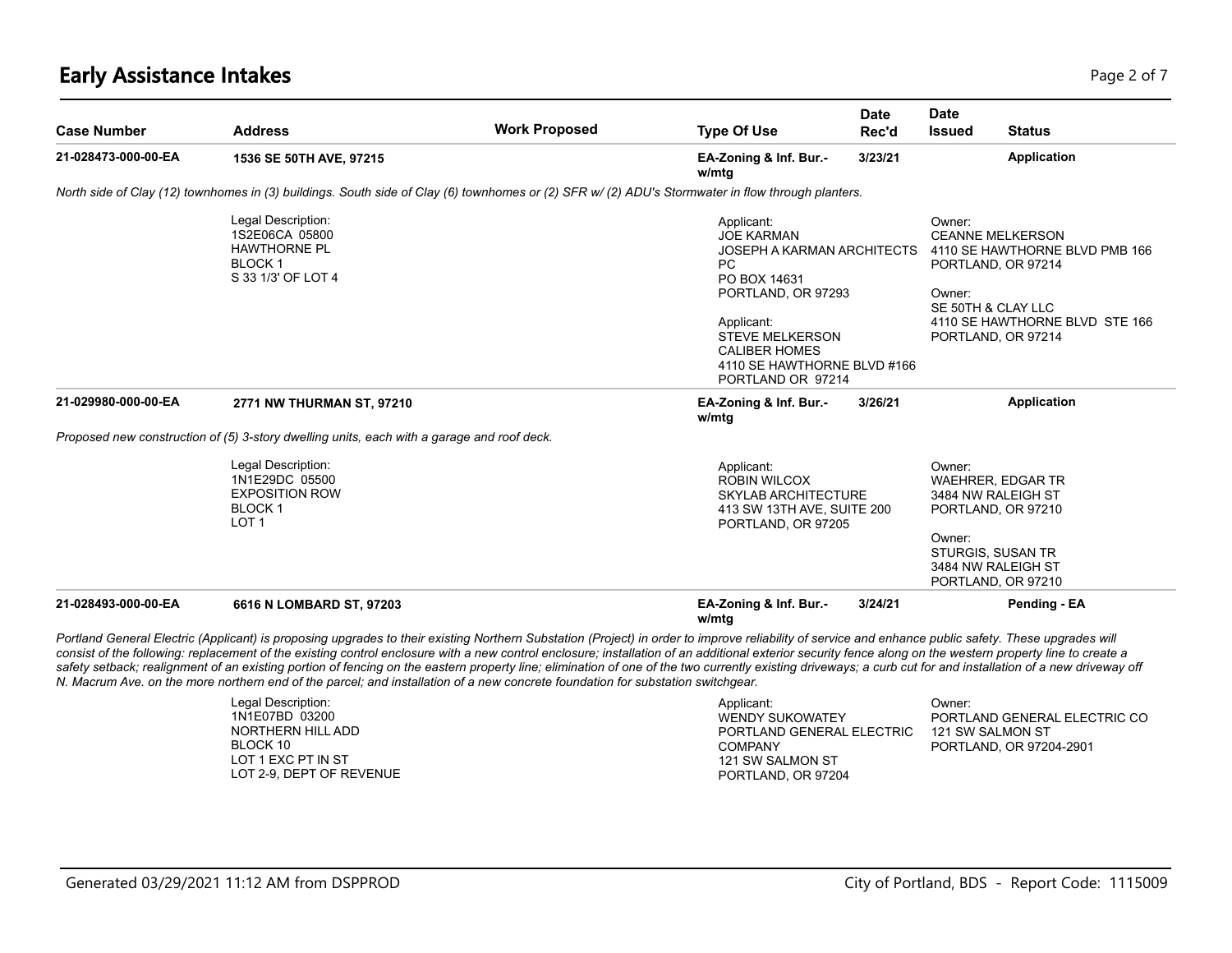# **Early Assistance Intakes** Page 2 of 7

| <b>Case Number</b>  | <b>Address</b>                                                                                                                                                                                                                                                                                                                                                                                                                                                                                                                                                                                                                                                                                                                                                          | <b>Work Proposed</b> | <b>Type Of Use</b>                                                                                                                                                                                                            | <b>Date</b><br>Rec'd | Date<br><b>Issued</b>                                                                                                                                     | <b>Status</b>                                                    |
|---------------------|-------------------------------------------------------------------------------------------------------------------------------------------------------------------------------------------------------------------------------------------------------------------------------------------------------------------------------------------------------------------------------------------------------------------------------------------------------------------------------------------------------------------------------------------------------------------------------------------------------------------------------------------------------------------------------------------------------------------------------------------------------------------------|----------------------|-------------------------------------------------------------------------------------------------------------------------------------------------------------------------------------------------------------------------------|----------------------|-----------------------------------------------------------------------------------------------------------------------------------------------------------|------------------------------------------------------------------|
| 21-028473-000-00-EA | 1536 SE 50TH AVE, 97215                                                                                                                                                                                                                                                                                                                                                                                                                                                                                                                                                                                                                                                                                                                                                 |                      | EA-Zoning & Inf. Bur.-<br>w/mtg                                                                                                                                                                                               | 3/23/21              |                                                                                                                                                           | Application                                                      |
|                     | North side of Clay (12) townhomes in (3) buildings. South side of Clay (6) townhomes or (2) SFR w/ (2) ADU's Stormwater in flow through planters.                                                                                                                                                                                                                                                                                                                                                                                                                                                                                                                                                                                                                       |                      |                                                                                                                                                                                                                               |                      |                                                                                                                                                           |                                                                  |
|                     | Legal Description:<br>1S2E06CA 05800<br><b>HAWTHORNE PL</b><br>BLOCK <sub>1</sub><br>S 33 1/3' OF LOT 4                                                                                                                                                                                                                                                                                                                                                                                                                                                                                                                                                                                                                                                                 |                      | Applicant:<br><b>JOE KARMAN</b><br>JOSEPH A KARMAN ARCHITECTS<br>PC<br>PO BOX 14631<br>PORTLAND, OR 97293<br>Applicant:<br><b>STEVE MELKERSON</b><br><b>CALIBER HOMES</b><br>4110 SE HAWTHORNE BLVD #166<br>PORTLAND OR 97214 |                      | Owner:<br><b>CEANNE MELKERSON</b><br>PORTLAND, OR 97214<br>Owner:<br>SE 50TH & CLAY LLC<br>PORTLAND, OR 97214                                             | 4110 SE HAWTHORNE BLVD PMB 166<br>4110 SE HAWTHORNE BLVD STE 166 |
| 21-029980-000-00-EA | 2771 NW THURMAN ST, 97210                                                                                                                                                                                                                                                                                                                                                                                                                                                                                                                                                                                                                                                                                                                                               |                      | EA-Zoning & Inf. Bur.-<br>w/mtg                                                                                                                                                                                               | 3/26/21              |                                                                                                                                                           | <b>Application</b>                                               |
|                     | Proposed new construction of (5) 3-story dwelling units, each with a garage and roof deck.                                                                                                                                                                                                                                                                                                                                                                                                                                                                                                                                                                                                                                                                              |                      |                                                                                                                                                                                                                               |                      |                                                                                                                                                           |                                                                  |
|                     | Legal Description:<br>1N1E29DC 05500<br><b>EXPOSITION ROW</b><br><b>BLOCK1</b><br>LOT <sub>1</sub>                                                                                                                                                                                                                                                                                                                                                                                                                                                                                                                                                                                                                                                                      |                      | Applicant:<br><b>ROBIN WILCOX</b><br><b>SKYLAB ARCHITECTURE</b><br>413 SW 13TH AVE, SUITE 200<br>PORTLAND, OR 97205                                                                                                           |                      | Owner:<br><b>WAEHRER, EDGAR TR</b><br>3484 NW RALEIGH ST<br>PORTLAND, OR 97210<br>Owner:<br>STURGIS, SUSAN TR<br>3484 NW RALEIGH ST<br>PORTLAND, OR 97210 |                                                                  |
| 21-028493-000-00-EA | 6616 N LOMBARD ST, 97203                                                                                                                                                                                                                                                                                                                                                                                                                                                                                                                                                                                                                                                                                                                                                |                      | EA-Zoning & Inf. Bur.-<br>w/mta                                                                                                                                                                                               | 3/24/21              |                                                                                                                                                           | Pending - EA                                                     |
|                     | Portland General Electric (Applicant) is proposing upgrades to their existing Northern Substation (Project) in order to improve reliability of service and enhance public safety. These upgrades will<br>consist of the following: replacement of the existing control enclosure with a new control enclosure; installation of an additional exterior security fence along on the western property line to create a<br>safety setback; realignment of an existing portion of fencing on the eastern property line; elimination of one of the two currently existing driveways; a curb cut for and installation of a new driveway off<br>N. Macrum Ave. on the more northern end of the parcel; and installation of a new concrete foundation for substation switchgear. |                      |                                                                                                                                                                                                                               |                      |                                                                                                                                                           |                                                                  |

| Applicant:                | ⊃wner:                       |
|---------------------------|------------------------------|
| <b>WENDY SUKOWATEY</b>    | PORTLAND GENERAL ELECTRIC CO |
| PORTLAND GENERAL ELECTRIC | 121 SW SALMON ST             |
| <b>COMPANY</b>            | PORTLAND, OR 97204-2901      |
| 121 SW SALMON ST          |                              |
| PORTLAND, OR 97204        |                              |
|                           |                              |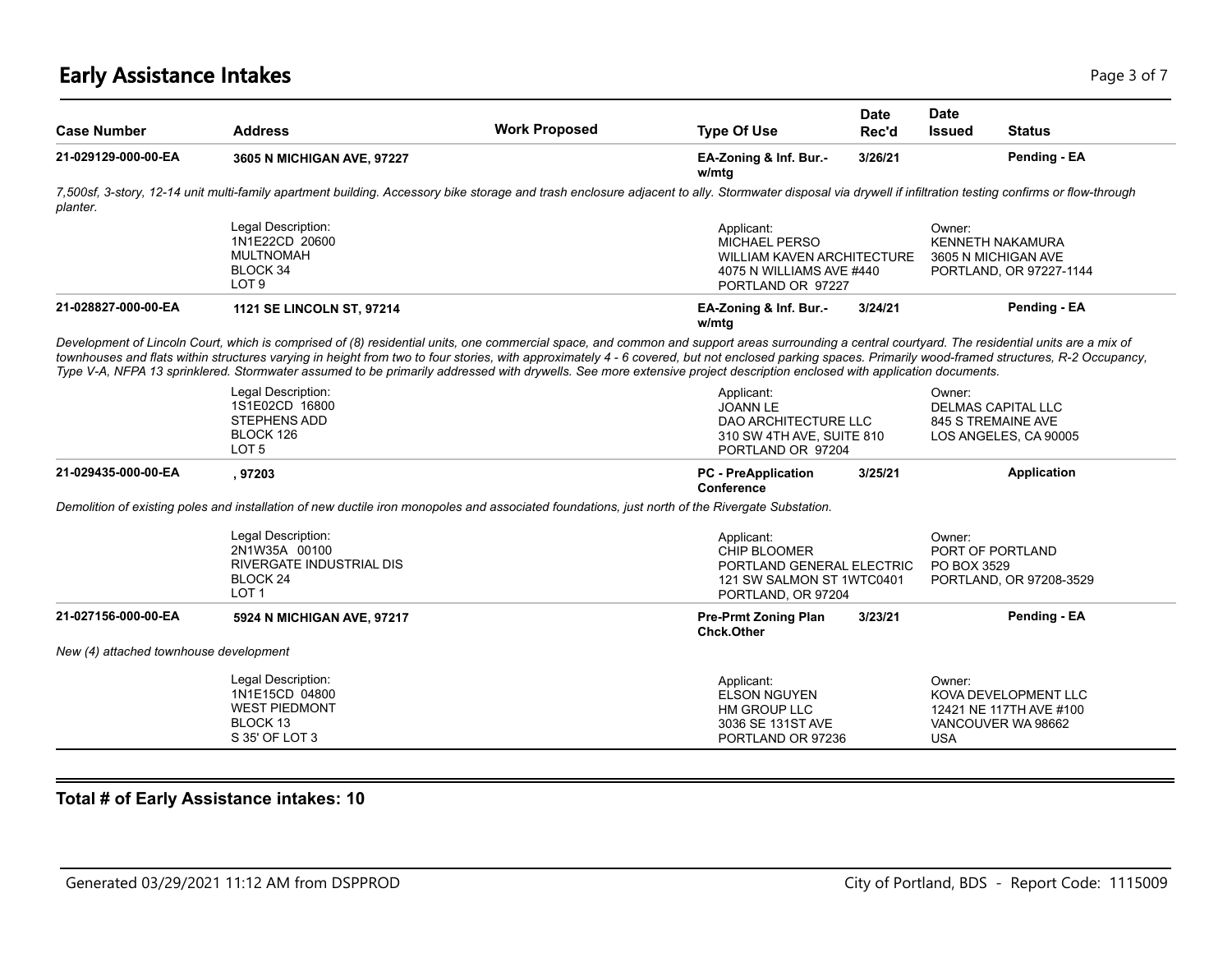# **Early Assistance Intakes** Page 1 of 7 and 2012 12:00 Page 1 of 7 and 2012 12:00 Page 3 of 7

| <b>Case Number</b>  | <b>Address</b>                                                                                                                                                                                                                                                                                                                                                                                                                                                                                                                                                                        | <b>Work Proposed</b> | <b>Type Of Use</b>                                                                                                | Date<br>Rec'd | <b>Date</b><br><b>Issued</b> | <b>Status</b>                                                             |
|---------------------|---------------------------------------------------------------------------------------------------------------------------------------------------------------------------------------------------------------------------------------------------------------------------------------------------------------------------------------------------------------------------------------------------------------------------------------------------------------------------------------------------------------------------------------------------------------------------------------|----------------------|-------------------------------------------------------------------------------------------------------------------|---------------|------------------------------|---------------------------------------------------------------------------|
| 21-029129-000-00-EA | 3605 N MICHIGAN AVE, 97227                                                                                                                                                                                                                                                                                                                                                                                                                                                                                                                                                            |                      | EA-Zoning & Inf. Bur.-<br>w/mtg                                                                                   | 3/26/21       |                              | Pending - EA                                                              |
| planter.            | 7,500sf, 3-story, 12-14 unit multi-family apartment building. Accessory bike storage and trash enclosure adjacent to ally. Stormwater disposal via drywell if infiltration testing confirms or flow-through                                                                                                                                                                                                                                                                                                                                                                           |                      |                                                                                                                   |               |                              |                                                                           |
|                     | Legal Description:<br>1N1E22CD 20600<br><b>MULTNOMAH</b><br>BLOCK 34<br>LOT <sub>9</sub>                                                                                                                                                                                                                                                                                                                                                                                                                                                                                              |                      | Applicant:<br><b>MICHAEL PERSO</b><br>WILLIAM KAVEN ARCHITECTURE<br>4075 N WILLIAMS AVE #440<br>PORTLAND OR 97227 |               | Owner:                       | <b>KENNETH NAKAMURA</b><br>3605 N MICHIGAN AVE<br>PORTLAND, OR 97227-1144 |
| 21-028827-000-00-EA | <b>1121 SE LINCOLN ST, 97214</b>                                                                                                                                                                                                                                                                                                                                                                                                                                                                                                                                                      |                      | EA-Zoning & Inf. Bur.-<br>w/mtg                                                                                   | 3/24/21       |                              | Pending - EA                                                              |
|                     | Development of Lincoln Court, which is comprised of (8) residential units, one commercial space, and common and support areas surrounding a central courtyard. The residential units are a mix of<br>townhouses and flats within structures varying in height from two to four stories, with approximately 4 - 6 covered, but not enclosed parking spaces. Primarily wood-framed structures, R-2 Occupancy,<br>Type V-A, NFPA 13 sprinklered. Stormwater assumed to be primarily addressed with drywells. See more extensive project description enclosed with application documents. |                      |                                                                                                                   |               |                              |                                                                           |
|                     | Legal Description:<br>1S1E02CD 16800<br>STEPHENS ADD<br>BLOCK 126<br>LOT <sub>5</sub>                                                                                                                                                                                                                                                                                                                                                                                                                                                                                                 |                      | Applicant:<br><b>JOANN LE</b><br>DAO ARCHITECTURE LLC<br>310 SW 4TH AVE, SUITE 810<br>PORTLAND OR 97204           |               | Owner:                       | <b>DELMAS CAPITAL LLC</b><br>845 S TREMAINE AVE<br>LOS ANGELES, CA 90005  |
| 21-029435-000-00-EA | , 97203                                                                                                                                                                                                                                                                                                                                                                                                                                                                                                                                                                               |                      | <b>PC</b> - PreApplication<br>Conference                                                                          | 3/25/21       |                              | Application                                                               |
|                     | Demolition of existing poles and installation of new ductile iron monopoles and associated foundations, just north of the Rivergate Substation.                                                                                                                                                                                                                                                                                                                                                                                                                                       |                      |                                                                                                                   |               |                              |                                                                           |
|                     | Legal Description:<br>2N1W35A 00100<br><b>RIVERGATE INDUSTRIAL DIS</b><br>BLOCK <sub>24</sub><br>LOT <sub>1</sub>                                                                                                                                                                                                                                                                                                                                                                                                                                                                     |                      | Applicant:<br>CHIP BLOOMER<br>PORTLAND GENERAL ELECTRIC<br>121 SW SALMON ST 1WTC0401<br>PORTLAND, OR 97204        |               | Owner:<br>PO BOX 3529        | PORT OF PORTLAND<br>PORTLAND, OR 97208-3529                               |
| 21-027156-000-00-EA | 5924 N MICHIGAN AVE, 97217                                                                                                                                                                                                                                                                                                                                                                                                                                                                                                                                                            |                      | <b>Pre-Prmt Zoning Plan</b><br><b>Chck.Other</b>                                                                  | 3/23/21       |                              | Pending - EA                                                              |
|                     | New (4) attached townhouse development                                                                                                                                                                                                                                                                                                                                                                                                                                                                                                                                                |                      |                                                                                                                   |               |                              |                                                                           |
|                     |                                                                                                                                                                                                                                                                                                                                                                                                                                                                                                                                                                                       |                      |                                                                                                                   |               |                              |                                                                           |

#### **Total # of Early Assistance intakes: 10**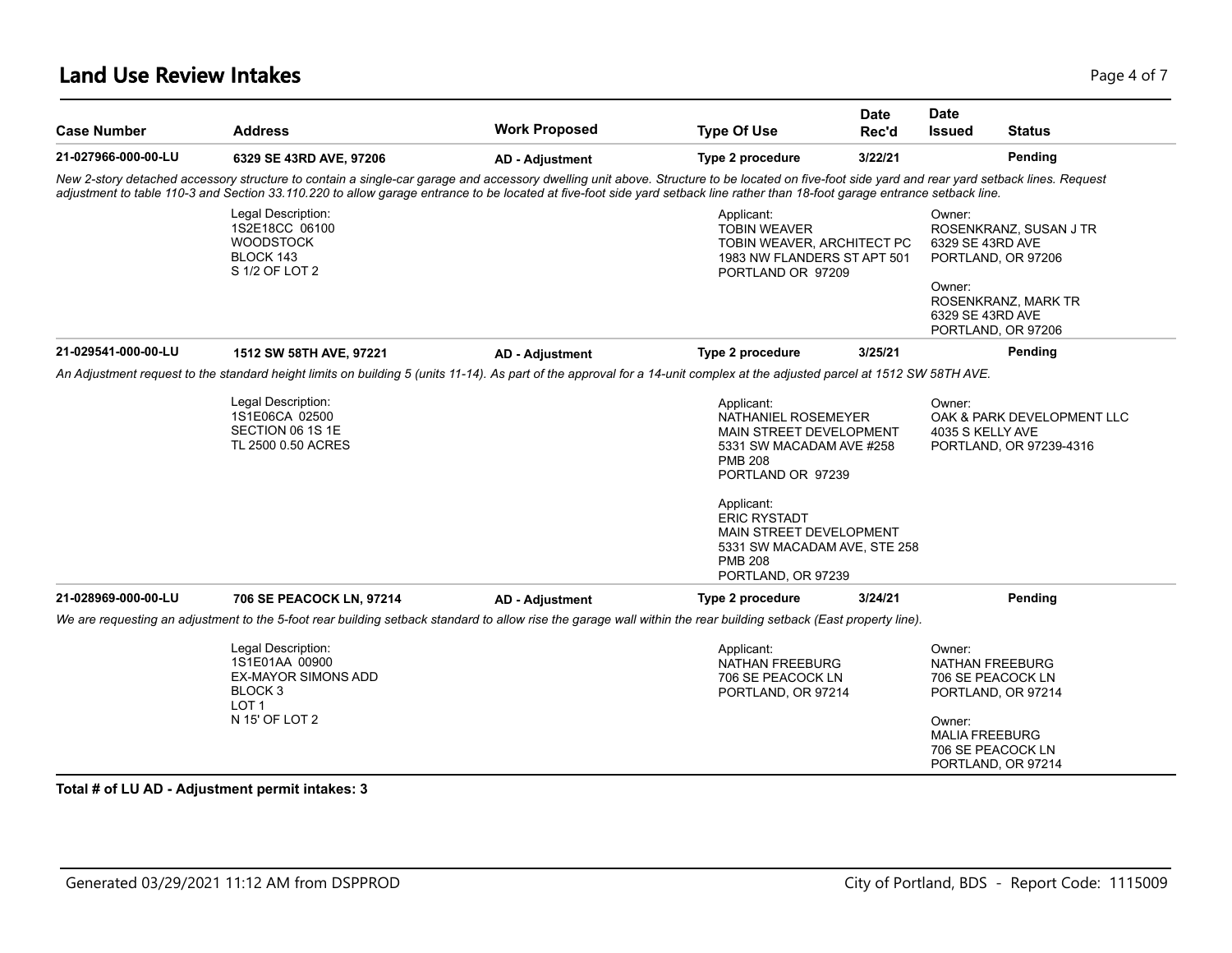### **Land Use Review Intakes** Page 4 of 7

| <b>Case Number</b>  | <b>Address</b>                                                                                                                                                                                                                                                                                                                                                                  | <b>Work Proposed</b>   | <b>Type Of Use</b>                                                                                                                                                                                                                                                      | <b>Date</b><br>Rec'd | Date<br><b>Issued</b>                                        | <b>Status</b>                                                                      |
|---------------------|---------------------------------------------------------------------------------------------------------------------------------------------------------------------------------------------------------------------------------------------------------------------------------------------------------------------------------------------------------------------------------|------------------------|-------------------------------------------------------------------------------------------------------------------------------------------------------------------------------------------------------------------------------------------------------------------------|----------------------|--------------------------------------------------------------|------------------------------------------------------------------------------------|
| 21-027966-000-00-LU | 6329 SE 43RD AVE, 97206                                                                                                                                                                                                                                                                                                                                                         | <b>AD - Adjustment</b> | Type 2 procedure                                                                                                                                                                                                                                                        | 3/22/21              |                                                              | Pending                                                                            |
|                     | New 2-story detached accessory structure to contain a single-car garage and accessory dwelling unit above. Structure to be located on five-foot side yard and rear yard setback lines. Request<br>adjustment to table 110-3 and Section 33.110.220 to allow garage entrance to be located at five-foot side yard setback line rather than 18-foot garage entrance setback line. |                        |                                                                                                                                                                                                                                                                         |                      |                                                              |                                                                                    |
|                     | Legal Description:<br>1S2E18CC 06100<br><b>WOODSTOCK</b><br>BLOCK 143<br>S 1/2 OF LOT 2                                                                                                                                                                                                                                                                                         |                        | Applicant:<br><b>TOBIN WEAVER</b><br>TOBIN WEAVER, ARCHITECT PC<br>1983 NW FLANDERS ST APT 501<br>PORTLAND OR 97209                                                                                                                                                     |                      | Owner:<br>6329 SE 43RD AVE<br>Owner:                         | ROSENKRANZ, SUSAN J TR<br>PORTLAND, OR 97206<br>ROSENKRANZ, MARK TR                |
|                     |                                                                                                                                                                                                                                                                                                                                                                                 |                        |                                                                                                                                                                                                                                                                         |                      | 6329 SE 43RD AVE                                             | PORTLAND, OR 97206                                                                 |
| 21-029541-000-00-LU | 1512 SW 58TH AVE, 97221                                                                                                                                                                                                                                                                                                                                                         | <b>AD - Adjustment</b> | Type 2 procedure                                                                                                                                                                                                                                                        | 3/25/21              |                                                              | Pending                                                                            |
|                     | An Adjustment request to the standard height limits on building 5 (units 11-14). As part of the approval for a 14-unit complex at the adjusted parcel at 1512 SW 58TH AVE.                                                                                                                                                                                                      |                        |                                                                                                                                                                                                                                                                         |                      |                                                              |                                                                                    |
|                     | Legal Description:<br>1S1E06CA 02500<br>SECTION 06 1S 1E<br>TL 2500 0.50 ACRES                                                                                                                                                                                                                                                                                                  |                        | Applicant:<br>NATHANIEL ROSEMEYER<br>MAIN STREET DEVELOPMENT<br>5331 SW MACADAM AVE #258<br><b>PMB 208</b><br>PORTLAND OR 97239<br>Applicant:<br><b>ERIC RYSTADT</b><br>MAIN STREET DEVELOPMENT<br>5331 SW MACADAM AVE, STE 258<br><b>PMB 208</b><br>PORTLAND, OR 97239 |                      | Owner:<br>4035 S KELLY AVE                                   | OAK & PARK DEVELOPMENT LLC<br>PORTLAND, OR 97239-4316                              |
| 21-028969-000-00-LU | <b>706 SE PEACOCK LN, 97214</b>                                                                                                                                                                                                                                                                                                                                                 | <b>AD - Adjustment</b> | Type 2 procedure                                                                                                                                                                                                                                                        | 3/24/21              |                                                              | Pending                                                                            |
|                     | We are requesting an adjustment to the 5-foot rear building setback standard to allow rise the garage wall within the rear building setback (East property line).                                                                                                                                                                                                               |                        |                                                                                                                                                                                                                                                                         |                      |                                                              |                                                                                    |
|                     | Legal Description:<br>1S1E01AA 00900<br><b>EX-MAYOR SIMONS ADD</b><br>BLOCK <sub>3</sub><br>LOT <sub>1</sub><br>N 15' OF LOT 2                                                                                                                                                                                                                                                  |                        | Applicant:<br><b>NATHAN FREEBURG</b><br>706 SE PEACOCK LN<br>PORTLAND, OR 97214                                                                                                                                                                                         |                      | Owner:<br>NATHAN FREEBURG<br>Owner:<br><b>MALIA FREEBURG</b> | 706 SE PEACOCK LN<br>PORTLAND, OR 97214<br>706 SE PEACOCK LN<br>PORTLAND, OR 97214 |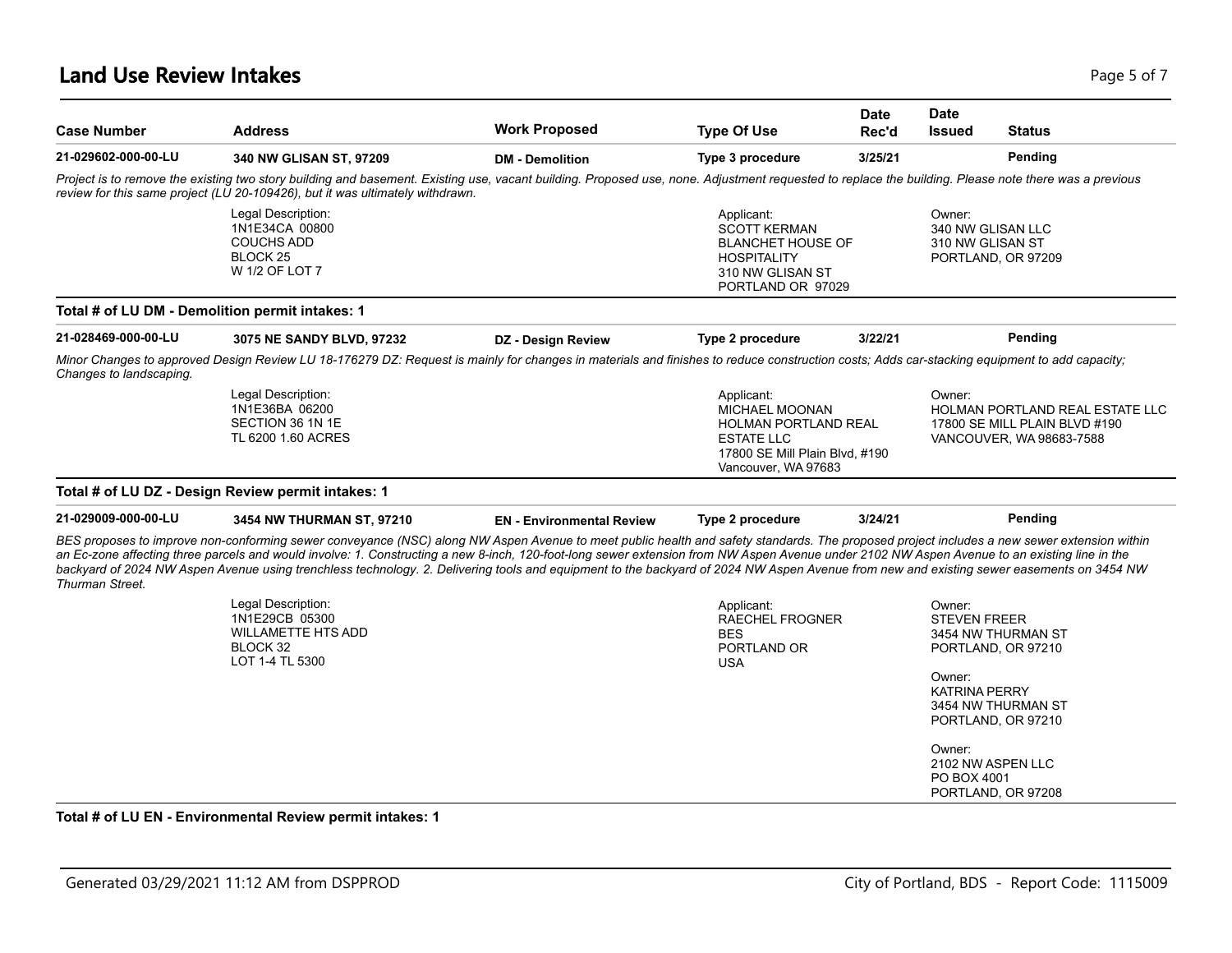### **Land Use Review Intakes** Page 1 2012 12:30 Page 1 2013 12:30 Page 1 2013 12:30 Page 1 2014

| <b>Case Number</b>                                                                           | <b>Address</b>                                                                                                                                                                                                                                                                                                                                                                                                                                                                                                                                                                         | <b>Work Proposed</b>             | <b>Type Of Use</b>                                                                                                                               | <b>Date</b><br>Rec'd | <b>Date</b><br><b>Status</b><br><b>Issued</b>                                                                 |
|----------------------------------------------------------------------------------------------|----------------------------------------------------------------------------------------------------------------------------------------------------------------------------------------------------------------------------------------------------------------------------------------------------------------------------------------------------------------------------------------------------------------------------------------------------------------------------------------------------------------------------------------------------------------------------------------|----------------------------------|--------------------------------------------------------------------------------------------------------------------------------------------------|----------------------|---------------------------------------------------------------------------------------------------------------|
| 21-029602-000-00-LU                                                                          | 340 NW GLISAN ST, 97209                                                                                                                                                                                                                                                                                                                                                                                                                                                                                                                                                                | <b>DM - Demolition</b>           | Type 3 procedure                                                                                                                                 | 3/25/21              | Pending                                                                                                       |
|                                                                                              | Project is to remove the existing two story building and basement. Existing use, vacant building. Proposed use, none. Adjustment requested to replace the building. Please note there was a previous<br>review for this same project (LU 20-109426), but it was ultimately withdrawn.                                                                                                                                                                                                                                                                                                  |                                  |                                                                                                                                                  |                      |                                                                                                               |
|                                                                                              | Legal Description:<br>1N1E34CA 00800<br><b>COUCHS ADD</b><br>BLOCK <sub>25</sub><br>W 1/2 OF LOT 7                                                                                                                                                                                                                                                                                                                                                                                                                                                                                     |                                  | Applicant:<br><b>SCOTT KERMAN</b><br><b>BLANCHET HOUSE OF</b><br><b>HOSPITALITY</b><br>310 NW GLISAN ST<br>PORTLAND OR 97029                     |                      | Owner:<br>340 NW GLISAN LLC<br>310 NW GLISAN ST<br>PORTLAND, OR 97209                                         |
| Total # of LU DM - Demolition permit intakes: 1                                              |                                                                                                                                                                                                                                                                                                                                                                                                                                                                                                                                                                                        |                                  |                                                                                                                                                  |                      |                                                                                                               |
| 21-028469-000-00-LU                                                                          | 3075 NE SANDY BLVD, 97232                                                                                                                                                                                                                                                                                                                                                                                                                                                                                                                                                              | DZ - Design Review               | Type 2 procedure                                                                                                                                 | 3/22/21              | Pending                                                                                                       |
| Changes to landscaping.                                                                      | Minor Changes to approved Design Review LU 18-176279 DZ: Request is mainly for changes in materials and finishes to reduce construction costs; Adds car-stacking equipment to add capacity;                                                                                                                                                                                                                                                                                                                                                                                            |                                  |                                                                                                                                                  |                      |                                                                                                               |
|                                                                                              | Legal Description:<br>1N1E36BA 06200<br>SECTION 36 1N 1E<br>TL 6200 1.60 ACRES                                                                                                                                                                                                                                                                                                                                                                                                                                                                                                         |                                  | Applicant:<br><b>MICHAEL MOONAN</b><br><b>HOLMAN PORTLAND REAL</b><br><b>ESTATE LLC</b><br>17800 SE Mill Plain Blvd, #190<br>Vancouver, WA 97683 |                      | Owner:<br><b>HOLMAN PORTLAND REAL ESTATE LLC</b><br>17800 SE MILL PLAIN BLVD #190<br>VANCOUVER, WA 98683-7588 |
|                                                                                              |                                                                                                                                                                                                                                                                                                                                                                                                                                                                                                                                                                                        |                                  |                                                                                                                                                  |                      |                                                                                                               |
|                                                                                              |                                                                                                                                                                                                                                                                                                                                                                                                                                                                                                                                                                                        |                                  |                                                                                                                                                  |                      |                                                                                                               |
|                                                                                              | 3454 NW THURMAN ST, 97210                                                                                                                                                                                                                                                                                                                                                                                                                                                                                                                                                              | <b>EN</b> - Environmental Review | Type 2 procedure                                                                                                                                 | 3/24/21              | Pending                                                                                                       |
| Total # of LU DZ - Design Review permit intakes: 1<br>21-029009-000-00-LU<br>Thurman Street. | BES proposes to improve non-conforming sewer conveyance (NSC) along NW Aspen Avenue to meet public health and safety standards. The proposed project includes a new sewer extension within<br>an Ec-zone affecting three parcels and would involve: 1. Constructing a new 8-inch, 120-foot-long sewer extension from NW Aspen Avenue under 2102 NW Aspen Avenue to an existing line in the<br>backyard of 2024 NW Aspen Avenue using trenchless technology. 2. Delivering tools and equipment to the backyard of 2024 NW Aspen Avenue from new and existing sewer easements on 3454 NW |                                  |                                                                                                                                                  |                      |                                                                                                               |
|                                                                                              | Legal Description:<br>1N1E29CB 05300<br><b>WILLAMETTE HTS ADD</b><br>BLOCK 32<br>LOT 1-4 TL 5300                                                                                                                                                                                                                                                                                                                                                                                                                                                                                       |                                  | Applicant:<br>RAECHEL FROGNER<br><b>BES</b><br>PORTLAND OR<br><b>USA</b>                                                                         |                      | Owner:<br><b>STEVEN FREER</b><br>3454 NW THURMAN ST<br>PORTLAND, OR 97210<br>Owner:<br><b>KATRINA PERRY</b>   |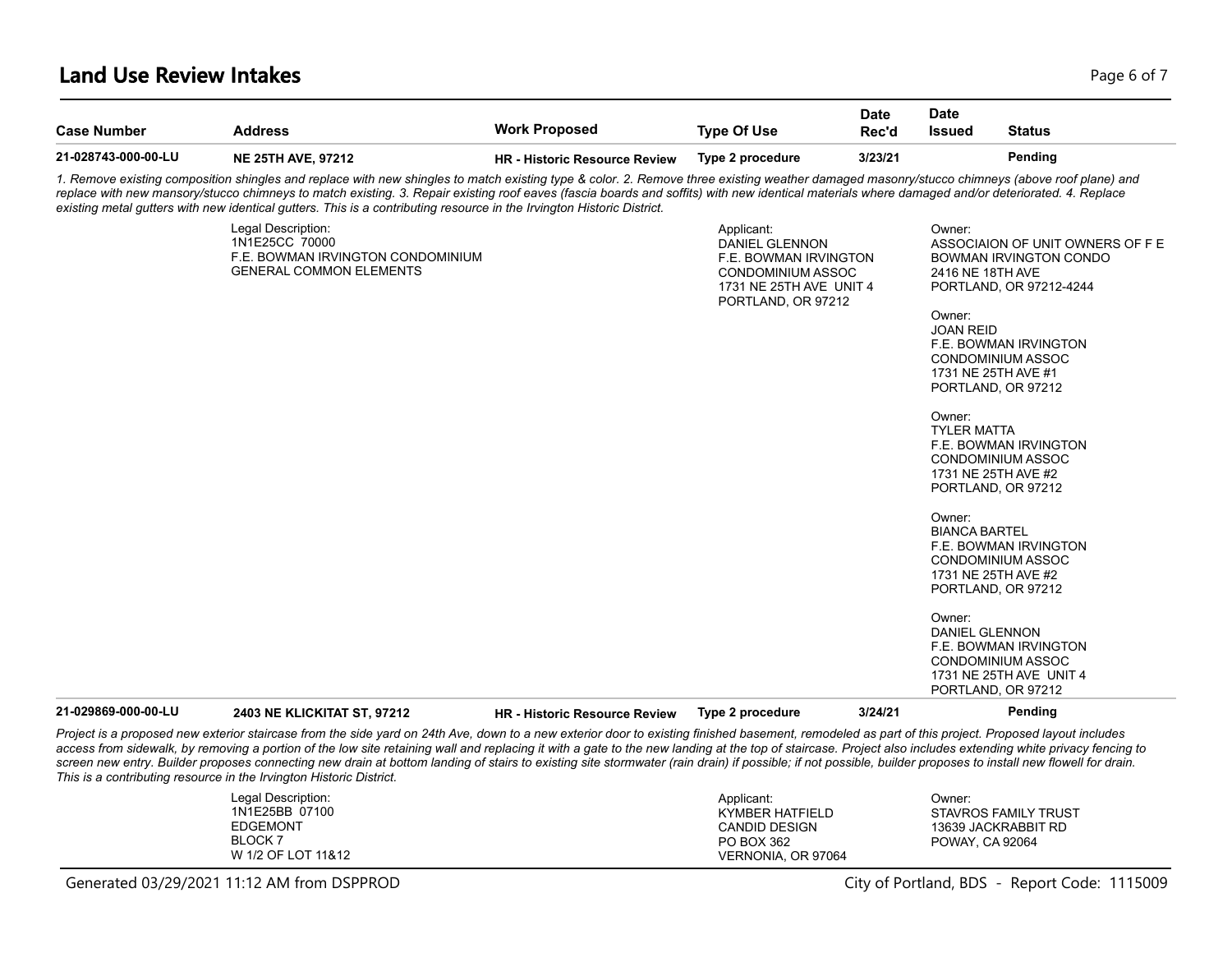#### **Land Use Review Intakes** Page 6 of 7

| <b>Case Number</b>  | <b>Address</b>                                                                                                                                                                                                                                                                                                                                                                                                                                                                                                              | <b>Work Proposed</b>                 | <b>Type Of Use</b>                                                                                                                        | <b>Date</b><br>Rec'd | <b>Date</b><br><b>Issued</b>                                                                                                                                                         | <b>Status</b>                                                                                                                                                                                                                                                                                                                                                                                                                                                              |
|---------------------|-----------------------------------------------------------------------------------------------------------------------------------------------------------------------------------------------------------------------------------------------------------------------------------------------------------------------------------------------------------------------------------------------------------------------------------------------------------------------------------------------------------------------------|--------------------------------------|-------------------------------------------------------------------------------------------------------------------------------------------|----------------------|--------------------------------------------------------------------------------------------------------------------------------------------------------------------------------------|----------------------------------------------------------------------------------------------------------------------------------------------------------------------------------------------------------------------------------------------------------------------------------------------------------------------------------------------------------------------------------------------------------------------------------------------------------------------------|
| 21-028743-000-00-LU | <b>NE 25TH AVE, 97212</b>                                                                                                                                                                                                                                                                                                                                                                                                                                                                                                   | <b>HR - Historic Resource Review</b> | Type 2 procedure                                                                                                                          | 3/23/21              |                                                                                                                                                                                      | Pending                                                                                                                                                                                                                                                                                                                                                                                                                                                                    |
|                     | 1. Remove existing composition shingles and replace with new shingles to match existing type & color. 2. Remove three existing weather damaged masonry/stucco chimneys (above roof plane) and<br>replace with new mansory/stucco chimneys to match existing. 3. Repair existing roof eaves (fascia boards and soffits) with new identical materials where damaged and/or deteriorated. 4. Replace<br>existing metal gutters with new identical gutters. This is a contributing resource in the Irvington Historic District. |                                      |                                                                                                                                           |                      |                                                                                                                                                                                      |                                                                                                                                                                                                                                                                                                                                                                                                                                                                            |
|                     | Legal Description:<br>1N1E25CC 70000<br>F.E. BOWMAN IRVINGTON CONDOMINIUM<br><b>GENERAL COMMON ELEMENTS</b>                                                                                                                                                                                                                                                                                                                                                                                                                 |                                      | Applicant:<br><b>DANIEL GLENNON</b><br>F.E. BOWMAN IRVINGTON<br><b>CONDOMINIUM ASSOC</b><br>1731 NE 25TH AVE UNIT 4<br>PORTLAND, OR 97212 |                      | Owner:<br>2416 NE 18TH AVE<br>Owner:<br><b>JOAN REID</b><br>1731 NE 25TH AVE #1<br>Owner:<br><b>TYLER MATTA</b><br>Owner:<br><b>BIANCA BARTEL</b><br>Owner:<br><b>DANIEL GLENNON</b> | ASSOCIAION OF UNIT OWNERS OF F E<br><b>BOWMAN IRVINGTON CONDO</b><br>PORTLAND, OR 97212-4244<br>F.E. BOWMAN IRVINGTON<br><b>CONDOMINIUM ASSOC</b><br>PORTLAND, OR 97212<br>F.E. BOWMAN IRVINGTON<br><b>CONDOMINIUM ASSOC</b><br>1731 NE 25TH AVE #2<br>PORTLAND, OR 97212<br>F.E. BOWMAN IRVINGTON<br>CONDOMINIUM ASSOC<br>1731 NE 25TH AVE #2<br>PORTLAND, OR 97212<br>F.E. BOWMAN IRVINGTON<br><b>CONDOMINIUM ASSOC</b><br>1731 NE 25TH AVE UNIT 4<br>PORTLAND, OR 97212 |
| 21-029869-000-00-LU | 2403 NE KLICKITAT ST, 97212                                                                                                                                                                                                                                                                                                                                                                                                                                                                                                 | <b>HR - Historic Resource Review</b> | Type 2 procedure                                                                                                                          | 3/24/21              |                                                                                                                                                                                      | Pending                                                                                                                                                                                                                                                                                                                                                                                                                                                                    |

*Project is a proposed new exterior staircase from the side yard on 24th Ave, down to a new exterior door to existing finished basement, remodeled as part of this project. Proposed layout includes*  access from sidewalk, by removing a portion of the low site retaining wall and replacing it with a gate to the new landing at the top of staircase. Project also includes extending white privacy fencing to *screen new entry. Builder proposes connecting new drain at bottom landing of stairs to existing site stormwater (rain drain) if possible; if not possible, builder proposes to install new flowell for drain. This is a contributing resource in the Irvington Historic District.*

| Legal Description:<br>1N1E25BB 07100 | Applicant:         | Owner:               |
|--------------------------------------|--------------------|----------------------|
|                                      | KYMBER HATFIELD    | STAVROS FAMILY TRUST |
| <b>EDGEMONT</b>                      | CANDID DESIGN      | 13639 JACKRABBIT RD  |
| <b>BLOCK 7</b>                       | PO BOX 362         | POWAY, CA 92064      |
| W 1/2 OF LOT 11&12                   | VERNONIA, OR 97064 |                      |